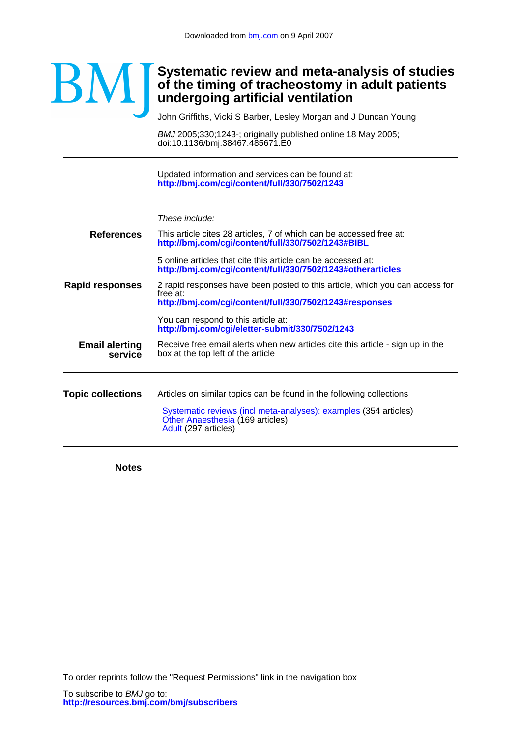# BM

## **undergoing artificial ventilation of the timing of tracheostomy in adult patients Systematic review and meta-analysis of studies**

John Griffiths, Vicki S Barber, Lesley Morgan and J Duncan Young

doi:10.1136/bmj.38467.485671.E0 BMJ 2005;330;1243-; originally published online 18 May 2005;

**<http://bmj.com/cgi/content/full/330/7502/1243>** Updated information and services can be found at:

|                                  | These include:                                                                                                                                      |  |  |  |  |  |  |
|----------------------------------|-----------------------------------------------------------------------------------------------------------------------------------------------------|--|--|--|--|--|--|
| <b>References</b>                | This article cites 28 articles, 7 of which can be accessed free at:<br>http://bmj.com/cgi/content/full/330/7502/1243#BIBL                           |  |  |  |  |  |  |
|                                  | 5 online articles that cite this article can be accessed at:<br>http://bmj.com/cgi/content/full/330/7502/1243#otherarticles                         |  |  |  |  |  |  |
| Rapid responses                  | 2 rapid responses have been posted to this article, which you can access for<br>free at:<br>http://bmj.com/cgi/content/full/330/7502/1243#responses |  |  |  |  |  |  |
|                                  | You can respond to this article at:<br>http://bmj.com/cgi/eletter-submit/330/7502/1243                                                              |  |  |  |  |  |  |
| <b>Email alerting</b><br>service | Receive free email alerts when new articles cite this article - sign up in the<br>box at the top left of the article                                |  |  |  |  |  |  |
| <b>Topic collections</b>         | Articles on similar topics can be found in the following collections                                                                                |  |  |  |  |  |  |
|                                  | Systematic reviews (incl meta-analyses): examples (354 articles)<br>Other Anaesthesia (169 articles)<br>Adult (297 articles)                        |  |  |  |  |  |  |
|                                  |                                                                                                                                                     |  |  |  |  |  |  |

**Notes**

To order reprints follow the "Request Permissions" link in the navigation box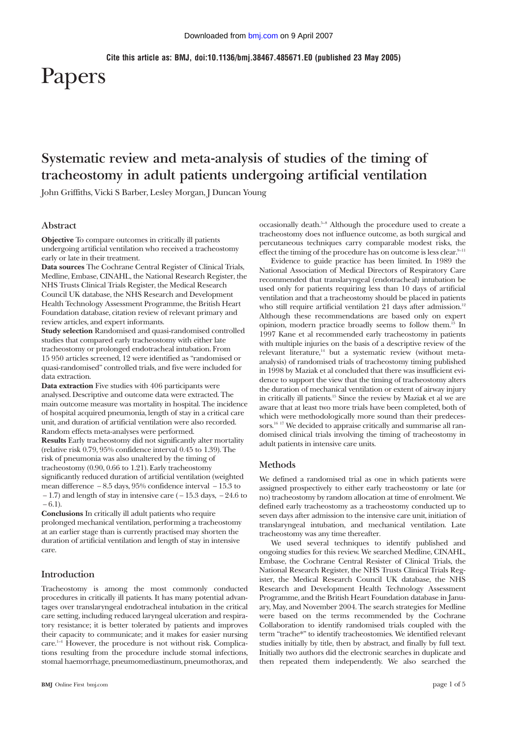**Cite this article as: BMJ, doi:10.1136/bmj.38467.485671.E0 (published 23 May 2005)**

# Papers

# **Systematic review and meta-analysis of studies of the timing of tracheostomy in adult patients undergoing artificial ventilation**

John Griffiths, Vicki S Barber, Lesley Morgan, J Duncan Young

#### **Abstract**

**Objective** To compare outcomes in critically ill patients undergoing artificial ventilation who received a tracheostomy early or late in their treatment.

**Data sources** The Cochrane Central Register of Clinical Trials, Medline, Embase, CINAHL, the National Research Register, the NHS Trusts Clinical Trials Register, the Medical Research Council UK database, the NHS Research and Development Health Technology Assessment Programme, the British Heart Foundation database, citation review of relevant primary and review articles, and expert informants.

**Study selection** Randomised and quasi-randomised controlled studies that compared early tracheostomy with either late tracheostomy or prolonged endotracheal intubation. From 15 950 articles screened, 12 were identified as "randomised or quasi-randomised" controlled trials, and five were included for data extraction.

**Data extraction** Five studies with 406 participants were analysed. Descriptive and outcome data were extracted. The main outcome measure was mortality in hospital. The incidence of hospital acquired pneumonia, length of stay in a critical care unit, and duration of artificial ventilation were also recorded. Random effects meta-analyses were performed.

**Results** Early tracheostomy did not significantly alter mortality (relative risk 0.79, 95% confidence interval 0.45 to 1.39). The risk of pneumonia was also unaltered by the timing of tracheostomy (0.90, 0.66 to 1.21). Early tracheostomy significantly reduced duration of artificial ventilation (weighted mean difference − 8.5 days, 95% confidence interval − 15.3 to  $-1.7$ ) and length of stay in intensive care ( $-15.3$  days,  $-24.6$  to  $-6.1$ ).

**Conclusions** In critically ill adult patients who require prolonged mechanical ventilation, performing a tracheostomy at an earlier stage than is currently practised may shorten the duration of artificial ventilation and length of stay in intensive care.

#### **Introduction**

Tracheostomy is among the most commonly conducted procedures in critically ill patients. It has many potential advantages over translaryngeal endotracheal intubation in the critical care setting, including reduced laryngeal ulceration and respiratory resistance; it is better tolerated by patients and improves their capacity to communicate; and it makes for easier nursing care.1–4 However, the procedure is not without risk. Complications resulting from the procedure include stomal infections, stomal haemorrhage, pneumomediastinum, pneumothorax, and occasionally death.5–8 Although the procedure used to create a tracheostomy does not influence outcome, as both surgical and percutaneous techniques carry comparable modest risks, the effect the timing of the procedure has on outcome is less clear.<sup>9-11</sup>

Evidence to guide practice has been limited. In 1989 the National Association of Medical Directors of Respiratory Care recommended that translaryngeal (endotracheal) intubation be used only for patients requiring less than 10 days of artificial ventilation and that a tracheostomy should be placed in patients who still require artificial ventilation 21 days after admission.<sup>12</sup> Although these recommendations are based only on expert opinion, modern practice broadly seems to follow them.13 In 1997 Kane et al recommended early tracheostomy in patients with multiple injuries on the basis of a descriptive review of the relevant literature,<sup>14</sup> but a systematic review (without metaanalysis) of randomised trials of tracheostomy timing published in 1998 by Maziak et al concluded that there was insufficient evidence to support the view that the timing of tracheostomy alters the duration of mechanical ventilation or extent of airway injury in critically ill patients.15 Since the review by Maziak et al we are aware that at least two more trials have been completed, both of which were methodologically more sound than their predecessors.<sup>16 17</sup> We decided to appraise critically and summarise all randomised clinical trials involving the timing of tracheostomy in adult patients in intensive care units.

#### **Methods**

We defined a randomised trial as one in which patients were assigned prospectively to either early tracheostomy or late (or no) tracheostomy by random allocation at time of enrolment. We defined early tracheostomy as a tracheostomy conducted up to seven days after admission to the intensive care unit, initiation of translaryngeal intubation, and mechanical ventilation. Late tracheostomy was any time thereafter.

We used several techniques to identify published and ongoing studies for this review. We searched Medline, CINAHL, Embase, the Cochrane Central Resister of Clinical Trials, the National Research Register, the NHS Trusts Clinical Trials Register, the Medical Research Council UK database, the NHS Research and Development Health Technology Assessment Programme, and the British Heart Foundation database in January, May, and November 2004. The search strategies for Medline were based on the terms recommended by the Cochrane Collaboration to identify randomised trials coupled with the term "trache\*" to identify tracheostomies. We identified relevant studies initially by title, then by abstract, and finally by full text. Initially two authors did the electronic searches in duplicate and then repeated them independently. We also searched the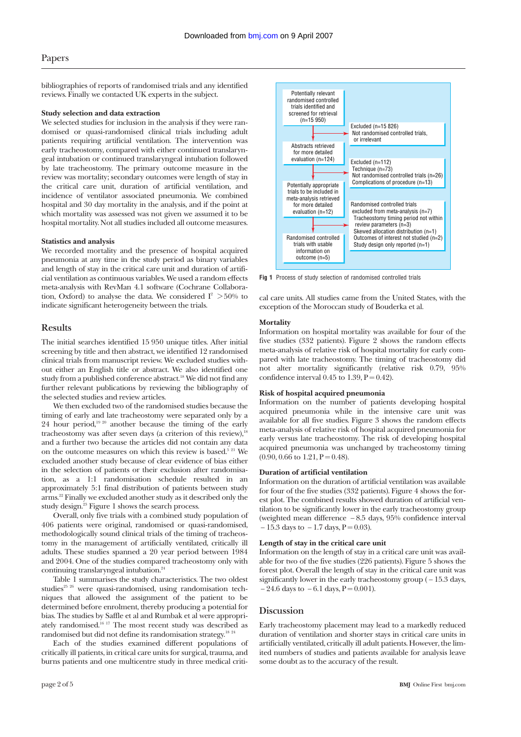bibliographies of reports of randomised trials and any identified reviews. Finally we contacted UK experts in the subject.

#### **Study selection and data extraction**

We selected studies for inclusion in the analysis if they were randomised or quasi-randomised clinical trials including adult patients requiring artificial ventilation. The intervention was early tracheostomy, compared with either continued translaryngeal intubation or continued translaryngeal intubation followed by late tracheostomy. The primary outcome measure in the review was mortality; secondary outcomes were length of stay in the critical care unit, duration of artificial ventilation, and incidence of ventilator associated pneumonia. We combined hospital and 30 day mortality in the analysis, and if the point at which mortality was assessed was not given we assumed it to be hospital mortality. Not all studies included all outcome measures.

#### **Statistics and analysis**

We recorded mortality and the presence of hospital acquired pneumonia at any time in the study period as binary variables and length of stay in the critical care unit and duration of artificial ventilation as continuous variables. We used a random effects meta-analysis with RevMan 4.1 software (Cochrane Collaboration, Oxford) to analyse the data. We considered  $I^2 > 50\%$  to indicate significant heterogeneity between the trials.

#### **Results**

The initial searches identified 15 950 unique titles. After initial screening by title and then abstract, we identified 12 randomised clinical trials from manuscript review. We excluded studies without either an English title or abstract. We also identified one study from a published conference abstract.<sup>18</sup> We did not find any further relevant publications by reviewing the bibliography of the selected studies and review articles.

We then excluded two of the randomised studies because the timing of early and late tracheostomy were separated only by a 24 hour period, $19\frac{20}{1}$  another because the timing of the early tracheostomy was after seven days (a criterion of this review), $18$ and a further two because the articles did not contain any data on the outcome measures on which this review is based.<sup>5 21</sup> We excluded another study because of clear evidence of bias either in the selection of patients or their exclusion after randomisation, as a 1:1 randomisation schedule resulted in an approximately 5:1 final distribution of patients between study arms.22 Finally we excluded another study as it described only the study design.23 Figure 1 shows the search process.

Overall, only five trials with a combined study population of 406 patients were original, randomised or quasi-randomised, methodologically sound clinical trials of the timing of tracheostomy in the management of artificially ventilated, critically ill adults. These studies spanned a 20 year period between 1984 and 2004. One of the studies compared tracheostomy only with continuing translaryngeal intubation.<sup>24</sup>

Table 1 summarises the study characteristics. The two oldest studies<sup>25</sup> 26 were quasi-randomised, using randomisation techniques that allowed the assignment of the patient to be determined before enrolment, thereby producing a potential for bias. The studies by Saffle et al and Rumbak et al were appropriately randomised.<sup>16 17</sup> The most recent study was described as randomised but did not define its randomisation strategy.<sup>18 24</sup>

Each of the studies examined different populations of critically ill patients, in critical care units for surgical, trauma, and burns patients and one multicentre study in three medical criti-



**Fig 1** Process of study selection of randomised controlled trials

cal care units. All studies came from the United States, with the exception of the Moroccan study of Bouderka et al.

#### **Mortality**

Information on hospital mortality was available for four of the five studies (332 patients). Figure 2 shows the random effects meta-analysis of relative risk of hospital mortality for early compared with late tracheostomy. The timing of tracheostomy did not alter mortality significantly (relative risk 0.79, 95% confidence interval  $0.45$  to  $1.39$ ,  $P = 0.42$ ).

#### **Risk of hospital acquired pneumonia**

Information on the number of patients developing hospital acquired pneumonia while in the intensive care unit was available for all five studies. Figure 3 shows the random effects meta-analysis of relative risk of hospital acquired pneumonia for early versus late tracheostomy. The risk of developing hospital acquired pneumonia was unchanged by tracheostomy timing  $(0.90, 0.66$  to  $1.21, P = 0.48)$ .

#### **Duration of artificial ventilation**

Information on the duration of artificial ventilation was available for four of the five studies (332 patients). Figure 4 shows the forest plot. The combined results showed duration of artificial ventilation to be significantly lower in the early tracheostomy group (weighted mean difference − 8.5 days, 95% confidence interval  $-15.3$  days to  $-1.7$  days,  $P = 0.03$ ).

#### **Length of stay in the critical care unit**

Information on the length of stay in a critical care unit was available for two of the five studies (226 patients). Figure 5 shows the forest plot. Overall the length of stay in the critical care unit was significantly lower in the early tracheostomy group  $(-15.3 \text{ days})$ ,  $-24.6$  days to  $-6.1$  days,  $P = 0.001$ ).

#### **Discussion**

Early tracheostomy placement may lead to a markedly reduced duration of ventilation and shorter stays in critical care units in artificially ventilated, critically ill adult patients. However, the limited numbers of studies and patients available for analysis leave some doubt as to the accuracy of the result.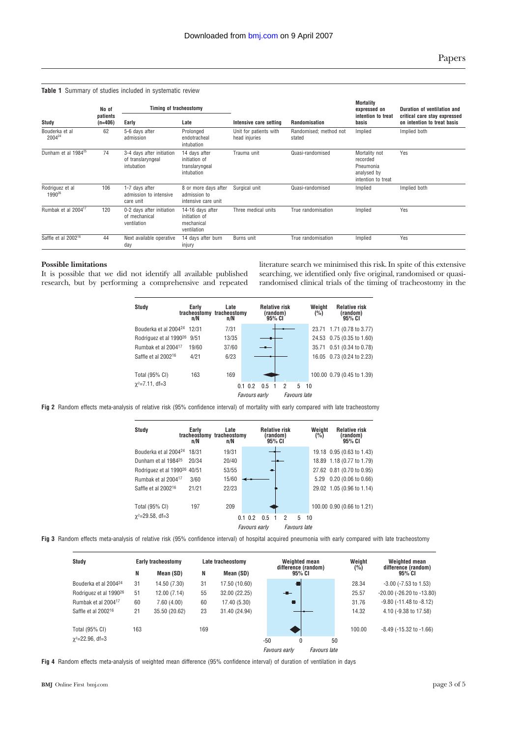**Table 1** Summary of studies included in systematic review

| No of                                 |                       | Timing of tracheostomy                                       |                                                                |                                         |                                  | Mortality<br>expressed on                                                   | Duration of ventilation and                                 |  |
|---------------------------------------|-----------------------|--------------------------------------------------------------|----------------------------------------------------------------|-----------------------------------------|----------------------------------|-----------------------------------------------------------------------------|-------------------------------------------------------------|--|
| Study                                 | patients<br>$(n=406)$ | Early                                                        | Late                                                           | Intensive care setting                  | Randomisation                    | intention to treat<br>basis                                                 | critical care stay expressed<br>on intention to treat basis |  |
| Bouderka et al<br>2004 <sup>24</sup>  | 62                    | 5-6 days after<br>admission                                  | Prolonged<br>endotracheal<br>intubation                        | Unit for patients with<br>head injuries | Randomised: method not<br>stated | Implied                                                                     | Implied both                                                |  |
| Dunham et al 1984 <sup>25</sup>       | 74                    | 3-4 days after initiation<br>of translaryngeal<br>intubation | 14 days after<br>initiation of<br>translaryngeal<br>intubation | Trauma unit                             | Quasi-randomised                 | Mortality not<br>recorded<br>Pneumonia<br>analysed by<br>intention to treat | Yes                                                         |  |
| Rodriguez et al<br>1990 <sup>26</sup> | 106                   | 1-7 days after<br>admission to intensive<br>care unit        | 8 or more days after<br>admission to<br>intensive care unit    | Surgical unit                           | Quasi-randomised                 | Implied                                                                     | Implied both                                                |  |
| Rumbak et al 2004 <sup>17</sup>       | 120                   | 0-2 days after initiation<br>of mechanical<br>ventilation    | 14-16 days after<br>initiation of<br>mechanical<br>ventilation | Three medical units                     | True randomisation               | Implied                                                                     | Yes                                                         |  |
| Saffle et al 2002 <sup>16</sup>       | 44                    | Next available operative<br>day                              | 14 days after burn<br>injury                                   | Burns unit                              | True randomisation               | Implied                                                                     | Yes                                                         |  |

#### **Possible limitations**

It is possible that we did not identify all available published research, but by performing a comprehensive and repeated literature search we minimised this risk. In spite of this extensive searching, we identified only five original, randomised or quasirandomised clinical trials of the timing of tracheostomy in the



**Fig 2** Random effects meta-analysis of relative risk (95% confidence interval) of mortality with early compared with late tracheostomy



**Fig 3** Random effects meta-analysis of relative risk (95% confidence interval) of hospital acquired pneumonia with early compared with late tracheostomy

| Study                              |     | Early tracheostomy |     | Late tracheostomy |               | Weighted mean                 |              | Weight | Weighted mean                   |
|------------------------------------|-----|--------------------|-----|-------------------|---------------|-------------------------------|--------------|--------|---------------------------------|
|                                    | N   | Mean (SD)          | Ν   | Mean (SD)         |               | difference (random)<br>95% CI |              | (%)    | difference (random)<br>95% CI   |
| Bouderka et al 2004 <sup>24</sup>  | 31  | 14.50 (7.30)       | 31  | 17.50 (10.60)     |               |                               |              | 28.34  | $-3.00$ ( $-7.53$ to 1.53)      |
| Rodriguez et al 1990 <sup>26</sup> | 51  | 12.00 (7.14)       | 55  | 32.00 (22.25)     |               | $-$                           |              | 25.57  | -20.00 (-26.20 to -13.80)       |
| Rumbak et al 2004 <sup>17</sup>    | 60  | 7.60(4.00)         | 60  | 17.40 (5.30)      |               | Ð                             |              | 31.76  | $-9.80$ ( $-11.48$ to $-8.12$ ) |
| Saffle et al 2002 <sup>16</sup>    | 21  | 35.50 (20.62)      | 23  | 31.40 (24.94)     |               |                               |              | 14.32  | 4.10 (-9.38 to 17.58)           |
| Total (95% CI)                     | 163 |                    | 169 |                   |               |                               |              | 100.00 | $-8.49$ ( $-15.32$ to $-1.66$ ) |
| $\chi^2$ =22.96, df=3              |     |                    |     |                   | $-50$         | 0                             | 50           |        |                                 |
|                                    |     |                    |     |                   | Favours early |                               | Favours late |        |                                 |

**Fig 4** Random effects meta-analysis of weighted mean difference (95% confidence interval) of duration of ventilation in days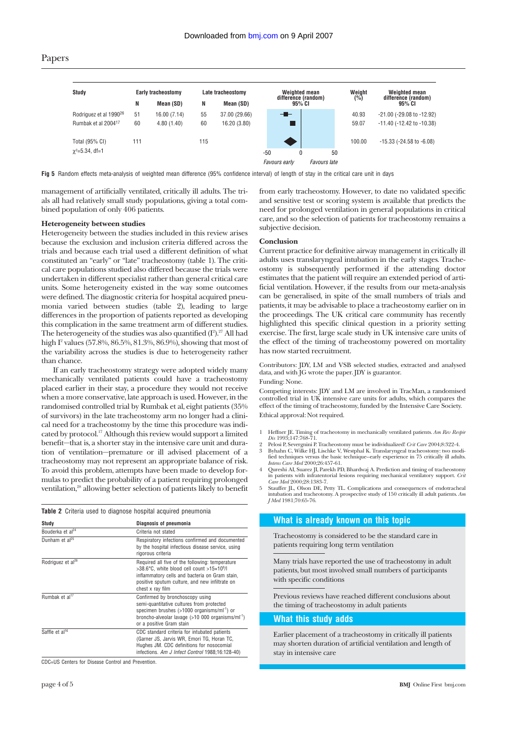| Study                              | <b>Early tracheostomy</b> |             | Late tracheostomy |               | Weighted mean |                               |   | Weight       | Weighted mean |                                  |
|------------------------------------|---------------------------|-------------|-------------------|---------------|---------------|-------------------------------|---|--------------|---------------|----------------------------------|
|                                    | N                         | Mean (SD)   | N                 | Mean (SD)     |               | difference (random)<br>95% CI |   |              | (%)           | difference (random)<br>95% CI    |
| Rodriguez et al 1990 <sup>26</sup> | 51                        | 16.00(7.14) | 55                | 37.00 (29.66) |               | - 1-                          |   |              | 40.93         | -21.00 (-29.08 to -12.92)        |
| Rumbak et al 2004 <sup>17</sup>    | 60                        | 4.80(1.40)  | 60                | 16.20 (3.80)  |               |                               |   |              | 59.07         | -11.40 (-12.42 to -10.38)        |
| Total (95% CI)                     | 111                       |             | 115               |               |               |                               |   |              | 100.00        | $-15.33$ ( $-24.58$ to $-6.08$ ) |
| $\chi^2$ =5.34, df=1               |                           |             |                   |               | $-50$         |                               | 0 | 50           |               |                                  |
|                                    |                           |             |                   |               |               | Favours early                 |   | Favours late |               |                                  |

**Fig 5** Random effects meta-analysis of weighted mean difference (95% confidence interval) of length of stay in the critical care unit in days

management of artificially ventilated, critically ill adults. The trials all had relatively small study populations, giving a total combined population of only 406 patients.

#### **Heterogeneity between studies**

Heterogeneity between the studies included in this review arises because the exclusion and inclusion criteria differed across the trials and because each trial used a different definition of what constituted an "early" or "late" tracheostomy (table 1). The critical care populations studied also differed because the trials were undertaken in different specialist rather than general critical care units. Some heterogeneity existed in the way some outcomes were defined. The diagnostic criteria for hospital acquired pneumonia varied between studies (table 2), leading to large differences in the proportion of patients reported as developing this complication in the same treatment arm of different studies. The heterogeneity of the studies was also quantified  $(I^2)^{27}$  All had high I<sup>2</sup> values (57.8%, 86.5%, 81.3%, 86.9%), showing that most of the variability across the studies is due to heterogeneity rather than chance.

If an early tracheostomy strategy were adopted widely many mechanically ventilated patients could have a tracheostomy placed earlier in their stay, a procedure they would not receive when a more conservative, late approach is used. However, in the randomised controlled trial by Rumbak et al, eight patients (35% of survivors) in the late tracheostomy arm no longer had a clinical need for a tracheostomy by the time this procedure was indicated by protocol.<sup>17</sup> Although this review would support a limited benefit—that is, a shorter stay in the intensive care unit and duration of ventilation—premature or ill advised placement of a tracheostomy may not represent an appropriate balance of risk. To avoid this problem, attempts have been made to develop formulas to predict the probability of a patient requiring prolonged ventilation,<sup>28</sup> allowing better selection of patients likely to benefit

**Table 2** Criteria used to diagnose hospital acquired pneumonia **Study Diagnosis of pneumonia** Bouderka et al<sup>24</sup> Criteria not stated Dunham et al<sup>25</sup> Respiratory infections confirmed and documented by the hospital infectious disease service, using rigorous criteria Rodriguez et al<sup>26</sup> Required all five of the following: temperature >38.6°C, white blood cell count >15×10<sup>9</sup>/l

positive sputum culture, and new infiltrate on chest x ray film Rumbak et al<sup>17</sup> Confirmed by bronchoscopy using semi-quantitative cultures from protected specimen brushes (>1000 organisms/ml<sup>-1</sup>) or broncho-alveolar lavage (>10 000 organisms/ml-1) or a positive Gram stain Saffle et al<sup>16</sup> CDC standard criteria for intubated patients (Garner JS, Jarvis WR, Emori TG, Horan TC, Hughes JM. CDC definitions for nosocomial infections. Am J Infect Control 1988;16:128-40)

inflammatory cells and bacteria on Gram stain,

CDC=US Centers for Disease Control and Prevention.

from early tracheostomy. However, to date no validated specific and sensitive test or scoring system is available that predicts the need for prolonged ventilation in general populations in critical care, and so the selection of patients for tracheostomy remains a subjective decision.

#### **Conclusion**

Current practice for definitive airway management in critically ill adults uses translaryngeal intubation in the early stages. Tracheostomy is subsequently performed if the attending doctor estimates that the patient will require an extended period of artificial ventilation. However, if the results from our meta-analysis can be generalised, in spite of the small numbers of trials and patients, it may be advisable to place a tracheostomy earlier on in the proceedings. The UK critical care community has recently highlighted this specific clinical question in a priority setting exercise. The first, large scale study in UK intensive care units of the effect of the timing of tracheostomy powered on mortality has now started recruitment.

Contributors: JDY, LM and VSB selected studies, extracted and analysed data, and with JG wrote the paper. JDY is guarantor. Funding: None.

Competing interests: JDY and LM are involved in TracMan, a randomised controlled trial in UK intensive care units for adults, which compares the effect of the timing of tracheostomy, funded by the Intensive Care Society. Ethical approval: Not required.

- 1 Heffner JE. Timing of tracheotomy in mechanically ventilated patients. *Am Rev Respir Dis* 1993;147:768-71.
- 2 Pelosi P, Severgnini P. Tracheostomy must be individualized! *Crit Care* 2004;8:322-4. 3 Byhahn C, Wilke HJ, Lischke V, Westphal K. Translaryngeal tracheostomy: two modi-fied techniques versus the basic technique--early experience in 75 critically ill adults. *Intens Care Med* 2000;26:457-61.
- Qureshi AI, Suarez JI, Parekh PD, Bhardwaj A. Prediction and timing of tracheostomy in patients with infratentorial lesions requiring mechanical ventilatory support. *Crit Care Med* 2000;28:1383-7.
- 5 Stauffer JL, Olson DE, Petty TL. Complications and consequences of endotracheal intubation and tracheotomy. A prospective study of 150 critically ill adult patients. *Am J Med* 1981;70:65-76.

### **What is already known on this topic** Tracheostomy is considered to be the standard care in patients requiring long term ventilation Many trials have reported the use of tracheostomy in adult patients, but most involved small numbers of participants with specific conditions Previous reviews have reached different conclusions about the timing of tracheostomy in adult patients

#### **What this study adds**

Earlier placement of a tracheostomy in critically ill patients may shorten duration of artificial ventilation and length of stay in intensive care